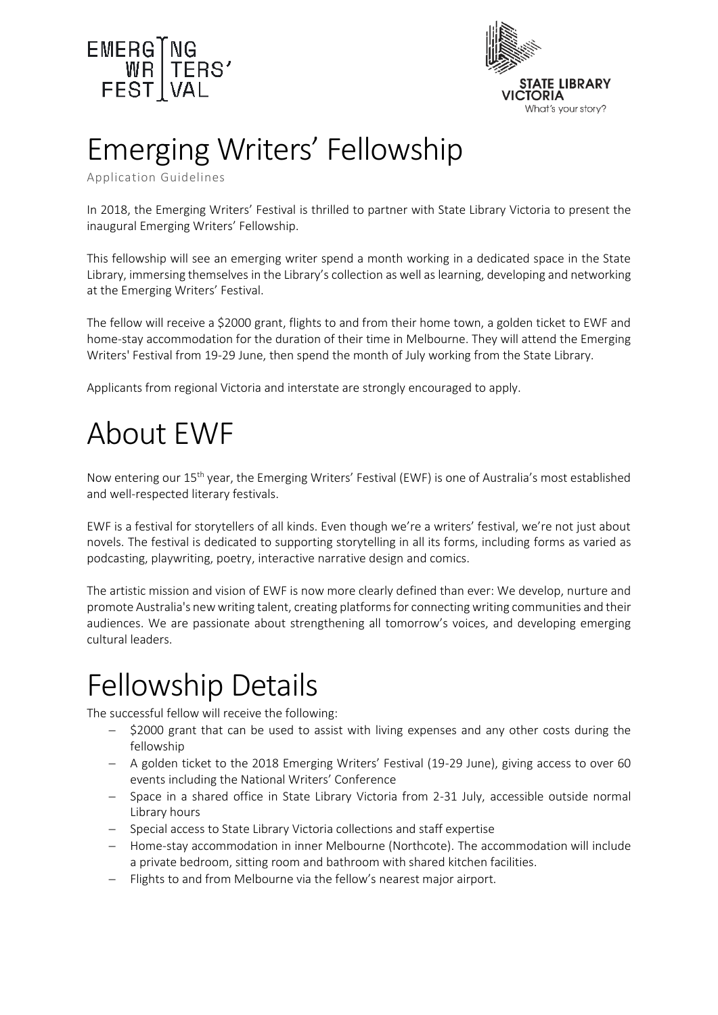



# Emerging Writers' Fellowship

Application Guidelines

In 2018, the Emerging Writers' Festival is thrilled to partner with State Library Victoria to present the inaugural Emerging Writers' Fellowship.

This fellowship will see an emerging writer spend a month working in a dedicated space in the State Library, immersing themselves in the Library's collection as well as learning, developing and networking at the Emerging Writers' Festival.

The fellow will receive a \$2000 grant, flights to and from their home town, a golden ticket to EWF and home-stay accommodation for the duration of their time in Melbourne. They will attend the Emerging Writers' Festival from 19-29 June, then spend the month of July working from the State Library.

Applicants from regional Victoria and interstate are strongly encouraged to apply.

## About EWF

Now entering our 15th year, the Emerging Writers' Festival (EWF) is one of Australia's most established and well-respected literary festivals.

EWF is a festival for storytellers of all kinds. Even though we're a writers' festival, we're not just about novels. The festival is dedicated to supporting storytelling in all its forms, including forms as varied as podcasting, playwriting, poetry, interactive narrative design and comics.

The artistic mission and vision of EWF is now more clearly defined than ever: We develop, nurture and promote Australia's new writing talent, creating platforms for connecting writing communities and their audiences. We are passionate about strengthening all tomorrow's voices, and developing emerging cultural leaders.

## Fellowship Details

The successful fellow will receive the following:

- \$2000 grant that can be used to assist with living expenses and any other costs during the fellowship
- A golden ticket to the 2018 Emerging Writers' Festival (19-29 June), giving access to over 60 events including the National Writers' Conference
- Space in a shared office in State Library Victoria from 2-31 July, accessible outside normal Library hours
- Special access to State Library Victoria collections and staff expertise
- Home-stay accommodation in inner Melbourne (Northcote). The accommodation will include a private bedroom, sitting room and bathroom with shared kitchen facilities.
- Flights to and from Melbourne via the fellow's nearest major airport.